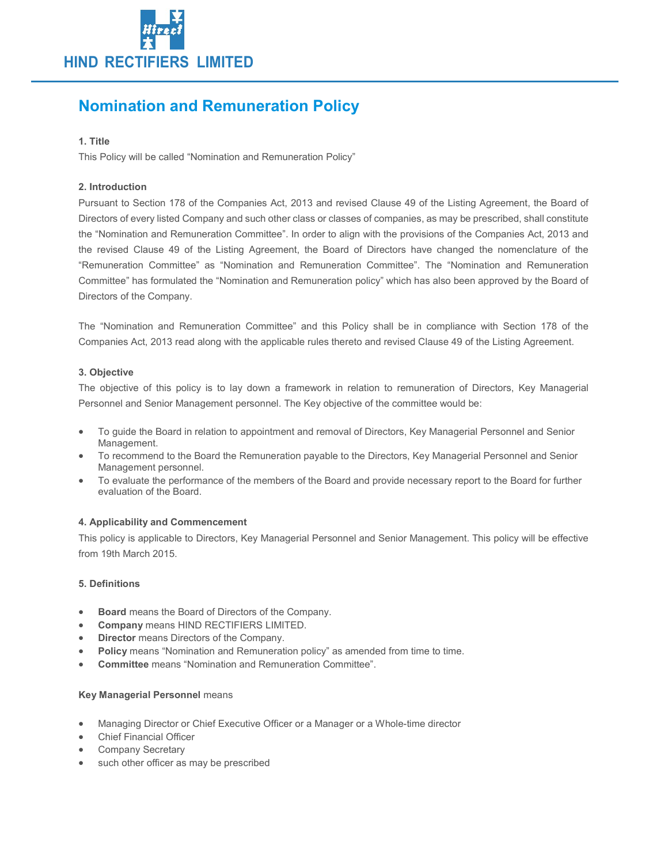

# Nomination and Remuneration Policy

# 1. Title

This Policy will be called "Nomination and Remuneration Policy"

# 2. Introduction

Pursuant to Section 178 of the Companies Act, 2013 and revised Clause 49 of the Listing Agreement, the Board of Directors of every listed Company and such other class or classes of companies, as may be prescribed, shall constitute the "Nomination and Remuneration Committee". In order to align with the provisions of the Companies Act, 2013 and the revised Clause 49 of the Listing Agreement, the Board of Directors have changed the nomenclature of the "Remuneration Committee" as "Nomination and Remuneration Committee". The "Nomination and Remuneration Committee" has formulated the "Nomination and Remuneration policy" which has also been approved by the Board of Directors of the Company.

The "Nomination and Remuneration Committee" and this Policy shall be in compliance with Section 178 of the Companies Act, 2013 read along with the applicable rules thereto and revised Clause 49 of the Listing Agreement.

# 3. Objective

The objective of this policy is to lay down a framework in relation to remuneration of Directors, Key Managerial Personnel and Senior Management personnel. The Key objective of the committee would be:

- To guide the Board in relation to appointment and removal of Directors, Key Managerial Personnel and Senior Management.
- To recommend to the Board the Remuneration payable to the Directors, Key Managerial Personnel and Senior Management personnel.
- To evaluate the performance of the members of the Board and provide necessary report to the Board for further evaluation of the Board.

### 4. Applicability and Commencement

This policy is applicable to Directors, Key Managerial Personnel and Senior Management. This policy will be effective from 19th March 2015.

### 5. Definitions

- Board means the Board of Directors of the Company.
- Company means HIND RECTIFIERS LIMITED.
- Director means Directors of the Company.
- Policy means "Nomination and Remuneration policy" as amended from time to time.
- Committee means "Nomination and Remuneration Committee".

### Key Managerial Personnel means

- Managing Director or Chief Executive Officer or a Manager or a Whole-time director
- Chief Financial Officer
- Company Secretary
- such other officer as may be prescribed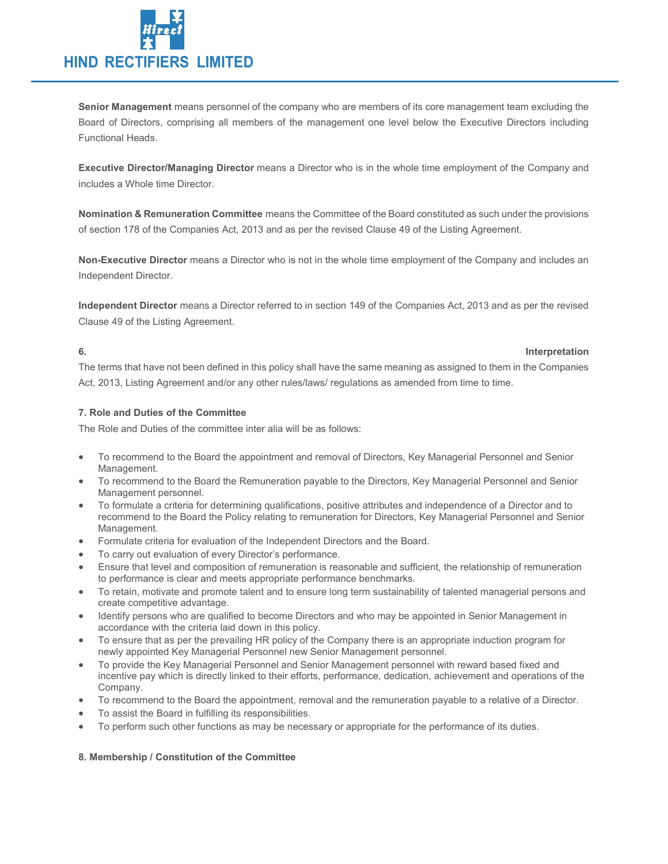

Senior Management means personnel of the company who are members of its core management team excluding the Board of Directors, comprising all members of the management one level below the Executive Directors including Functional Heads.

Executive Director/Managing Director means a Director who is in the whole time employment of the Company and includes a Whole time Director.

Nomination & Remuneration Committee means the Committee of the Board constituted as such under the provisions of section 178 of the Companies Act, 2013 and as per the revised Clause 49 of the Listing Agreement.

Non-Executive Director means a Director who is not in the whole time employment of the Company and includes an Independent Director.

Independent Director means a Director referred to in section 149 of the Companies Act, 2013 and as per the revised Clause 49 of the Listing Agreement.

### 6. Interpretation

The terms that have not been defined in this policy shall have the same meaning as assigned to them in the Companies Act, 2013, Listing Agreement and/or any other rules/laws/ regulations as amended from time to time.

# 7. Role and Duties of the Committee

The Role and Duties of the committee inter alia will be as follows:

- To recommend to the Board the appointment and removal of Directors, Key Managerial Personnel and Senior Management.
- To recommend to the Board the Remuneration payable to the Directors, Key Managerial Personnel and Senior Management personnel.
- To formulate a criteria for determining qualifications, positive attributes and independence of a Director and to recommend to the Board the Policy relating to remuneration for Directors, Key Managerial Personnel and Senior Management.
- Formulate criteria for evaluation of the Independent Directors and the Board.
- To carry out evaluation of every Director's performance.
- Ensure that level and composition of remuneration is reasonable and sufficient, the relationship of remuneration to performance is clear and meets appropriate performance benchmarks.
- To retain, motivate and promote talent and to ensure long term sustainability of talented managerial persons and create competitive advantage.
- Identify persons who are qualified to become Directors and who may be appointed in Senior Management in accordance with the criteria laid down in this policy.
- To ensure that as per the prevailing HR policy of the Company there is an appropriate induction program for newly appointed Key Managerial Personnel new Senior Management personnel.
- To provide the Key Managerial Personnel and Senior Management personnel with reward based fixed and incentive pay which is directly linked to their efforts, performance, dedication, achievement and operations of the Company.
- To recommend to the Board the appointment, removal and the remuneration payable to a relative of a Director.
- To assist the Board in fulfilling its responsibilities.
- To perform such other functions as may be necessary or appropriate for the performance of its duties.

### 8. Membership / Constitution of the Committee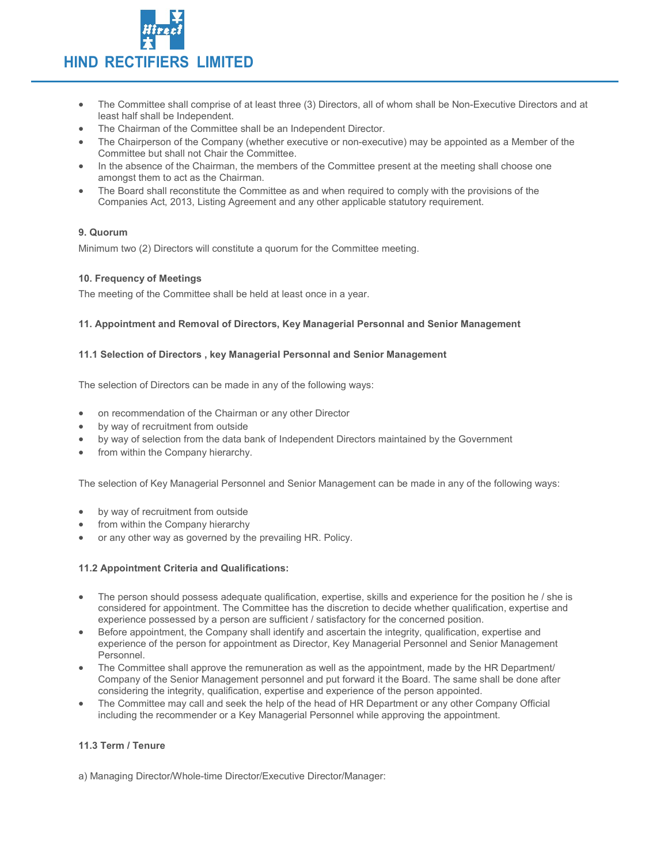

- The Committee shall comprise of at least three (3) Directors, all of whom shall be Non-Executive Directors and at least half shall be Independent.
- The Chairman of the Committee shall be an Independent Director.
- The Chairperson of the Company (whether executive or non-executive) may be appointed as a Member of the Committee but shall not Chair the Committee.
- In the absence of the Chairman, the members of the Committee present at the meeting shall choose one amongst them to act as the Chairman.
- The Board shall reconstitute the Committee as and when required to comply with the provisions of the Companies Act, 2013, Listing Agreement and any other applicable statutory requirement.

# 9. Quorum

Minimum two (2) Directors will constitute a quorum for the Committee meeting.

### 10. Frequency of Meetings

The meeting of the Committee shall be held at least once in a year.

### 11. Appointment and Removal of Directors, Key Managerial Personnal and Senior Management

### 11.1 Selection of Directors , key Managerial Personnal and Senior Management

The selection of Directors can be made in any of the following ways:

- on recommendation of the Chairman or any other Director
- by way of recruitment from outside
- by way of selection from the data bank of Independent Directors maintained by the Government
- from within the Company hierarchy.

The selection of Key Managerial Personnel and Senior Management can be made in any of the following ways:

- by way of recruitment from outside
- from within the Company hierarchy
- or any other way as governed by the prevailing HR. Policy.

### 11.2 Appointment Criteria and Qualifications:

- The person should possess adequate qualification, expertise, skills and experience for the position he / she is considered for appointment. The Committee has the discretion to decide whether qualification, expertise and experience possessed by a person are sufficient / satisfactory for the concerned position.
- Before appointment, the Company shall identify and ascertain the integrity, qualification, expertise and experience of the person for appointment as Director, Key Managerial Personnel and Senior Management Personnel.
- The Committee shall approve the remuneration as well as the appointment, made by the HR Department/ Company of the Senior Management personnel and put forward it the Board. The same shall be done after considering the integrity, qualification, expertise and experience of the person appointed.
- The Committee may call and seek the help of the head of HR Department or any other Company Official including the recommender or a Key Managerial Personnel while approving the appointment.

# 11.3 Term / Tenure

a) Managing Director/Whole-time Director/Executive Director/Manager: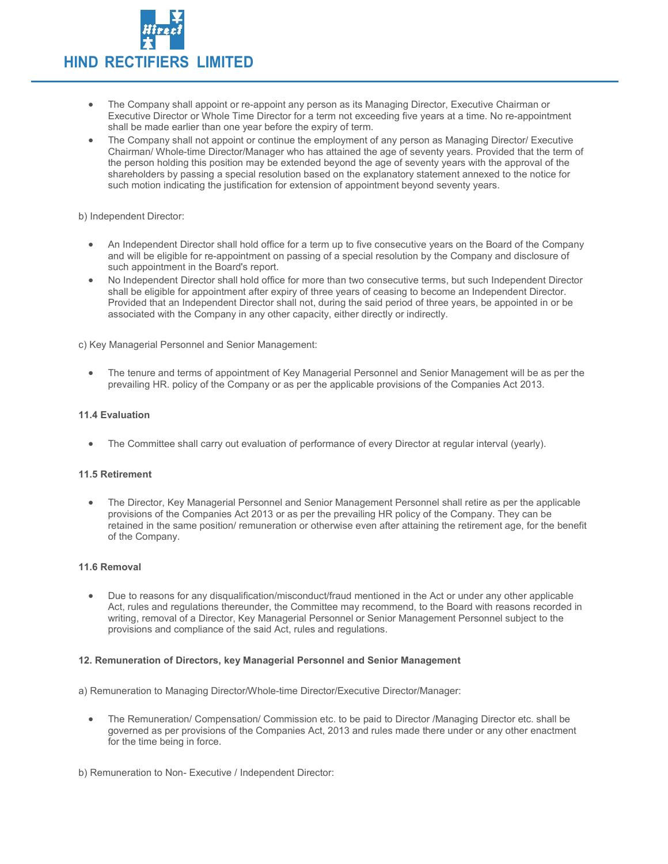

- The Company shall appoint or re-appoint any person as its Managing Director, Executive Chairman or Executive Director or Whole Time Director for a term not exceeding five years at a time. No re-appointment shall be made earlier than one year before the expiry of term.
- The Company shall not appoint or continue the employment of any person as Managing Director/ Executive Chairman/ Whole-time Director/Manager who has attained the age of seventy years. Provided that the term of the person holding this position may be extended beyond the age of seventy years with the approval of the shareholders by passing a special resolution based on the explanatory statement annexed to the notice for such motion indicating the justification for extension of appointment beyond seventy years.

b) Independent Director:

- An Independent Director shall hold office for a term up to five consecutive years on the Board of the Company and will be eligible for re-appointment on passing of a special resolution by the Company and disclosure of such appointment in the Board's report.
- No Independent Director shall hold office for more than two consecutive terms, but such Independent Director shall be eligible for appointment after expiry of three years of ceasing to become an Independent Director. Provided that an Independent Director shall not, during the said period of three years, be appointed in or be associated with the Company in any other capacity, either directly or indirectly.

c) Key Managerial Personnel and Senior Management:

 The tenure and terms of appointment of Key Managerial Personnel and Senior Management will be as per the prevailing HR. policy of the Company or as per the applicable provisions of the Companies Act 2013.

#### 11.4 Evaluation

The Committee shall carry out evaluation of performance of every Director at regular interval (yearly).

#### 11.5 Retirement

 The Director, Key Managerial Personnel and Senior Management Personnel shall retire as per the applicable provisions of the Companies Act 2013 or as per the prevailing HR policy of the Company. They can be retained in the same position/ remuneration or otherwise even after attaining the retirement age, for the benefit of the Company.

# 11.6 Removal

 Due to reasons for any disqualification/misconduct/fraud mentioned in the Act or under any other applicable Act, rules and regulations thereunder, the Committee may recommend, to the Board with reasons recorded in writing, removal of a Director, Key Managerial Personnel or Senior Management Personnel subject to the provisions and compliance of the said Act, rules and regulations.

#### 12. Remuneration of Directors, key Managerial Personnel and Senior Management

a) Remuneration to Managing Director/Whole-time Director/Executive Director/Manager:

- The Remuneration/ Compensation/ Commission etc. to be paid to Director /Managing Director etc. shall be governed as per provisions of the Companies Act, 2013 and rules made there under or any other enactment for the time being in force.
- b) Remuneration to Non- Executive / Independent Director: